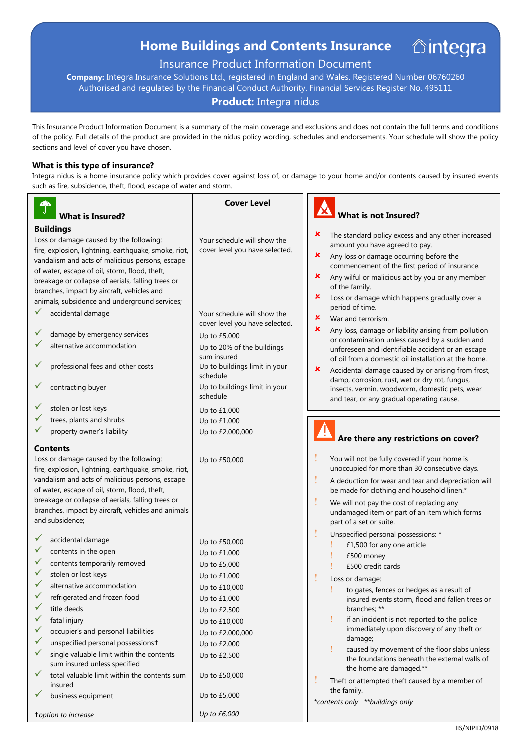# **Home Buildings and Contents Insurance**

# Insurance Product Information Document

**Company:** Integra Insurance Solutions Ltd., registered in England and Wales. Registered Number 06760260 Authorised and regulated by the Financial Conduct Authority. Financial Services Register No. 495111

# **Product:** Integra nidus

This Insurance Product Information Document is a summary of the main coverage and exclusions and does not contain the full terms and conditions of the policy. Full details of the product are provided in the nidus policy wording, schedules and endorsements. Your schedule will show the policy sections and level of cover you have chosen.

#### **What is this type of insurance?**

Integra nidus is a home insurance policy which provides cover against loss of, or damage to your home and/or contents caused by insured events such as fire, subsidence, theft, flood, escape of water and storm.

| $\blacktriangle$<br>J.<br><b>What is Insured?</b>                                                                                                                                                                                                                                                                                                                                                                                                                                                  | <b>Cover Level</b>                                                                                                                                                                                                           | What is not Insured?                                                                                                                                                                                                                                                                                                                                                                                                                                                                                                                                                                                   |
|----------------------------------------------------------------------------------------------------------------------------------------------------------------------------------------------------------------------------------------------------------------------------------------------------------------------------------------------------------------------------------------------------------------------------------------------------------------------------------------------------|------------------------------------------------------------------------------------------------------------------------------------------------------------------------------------------------------------------------------|--------------------------------------------------------------------------------------------------------------------------------------------------------------------------------------------------------------------------------------------------------------------------------------------------------------------------------------------------------------------------------------------------------------------------------------------------------------------------------------------------------------------------------------------------------------------------------------------------------|
|                                                                                                                                                                                                                                                                                                                                                                                                                                                                                                    |                                                                                                                                                                                                                              |                                                                                                                                                                                                                                                                                                                                                                                                                                                                                                                                                                                                        |
| <b>Buildings</b><br>Loss or damage caused by the following:<br>fire, explosion, lightning, earthquake, smoke, riot,<br>vandalism and acts of malicious persons, escape<br>of water, escape of oil, storm, flood, theft,<br>breakage or collapse of aerials, falling trees or<br>branches, impact by aircraft, vehicles and<br>animals, subsidence and underground services;<br>accidental damage<br>damage by emergency services<br>alternative accommodation<br>professional fees and other costs | Your schedule will show the<br>cover level you have selected.<br>Your schedule will show the<br>cover level you have selected.<br>Up to £5,000<br>Up to 20% of the buildings<br>sum insured<br>Up to buildings limit in your | ×<br>The standard policy excess and any other increased<br>amount you have agreed to pay.<br>×<br>Any loss or damage occurring before the<br>commencement of the first period of insurance.<br>×<br>Any wilful or malicious act by you or any member<br>of the family.<br>×<br>Loss or damage which happens gradually over a<br>period of time.<br>×<br>War and terrorism.<br>×<br>Any loss, damage or liability arising from pollution<br>or contamination unless caused by a sudden and<br>unforeseen and identifiable accident or an escape<br>of oil from a domestic oil installation at the home. |
| contracting buyer                                                                                                                                                                                                                                                                                                                                                                                                                                                                                  | schedule<br>Up to buildings limit in your<br>schedule                                                                                                                                                                        | ×<br>Accidental damage caused by or arising from frost,<br>damp, corrosion, rust, wet or dry rot, fungus,<br>insects, vermin, woodworm, domestic pets, wear<br>and tear, or any gradual operating cause.                                                                                                                                                                                                                                                                                                                                                                                               |
| stolen or lost keys                                                                                                                                                                                                                                                                                                                                                                                                                                                                                | Up to £1,000                                                                                                                                                                                                                 |                                                                                                                                                                                                                                                                                                                                                                                                                                                                                                                                                                                                        |
| trees, plants and shrubs                                                                                                                                                                                                                                                                                                                                                                                                                                                                           | Up to £1,000                                                                                                                                                                                                                 |                                                                                                                                                                                                                                                                                                                                                                                                                                                                                                                                                                                                        |
| property owner's liability                                                                                                                                                                                                                                                                                                                                                                                                                                                                         | Up to £2,000,000                                                                                                                                                                                                             | Are there any restrictions on cover?                                                                                                                                                                                                                                                                                                                                                                                                                                                                                                                                                                   |
| <b>Contents</b>                                                                                                                                                                                                                                                                                                                                                                                                                                                                                    |                                                                                                                                                                                                                              |                                                                                                                                                                                                                                                                                                                                                                                                                                                                                                                                                                                                        |
| Loss or damage caused by the following:                                                                                                                                                                                                                                                                                                                                                                                                                                                            | Up to £50,000                                                                                                                                                                                                                | You will not be fully covered if your home is                                                                                                                                                                                                                                                                                                                                                                                                                                                                                                                                                          |
| fire, explosion, lightning, earthquake, smoke, riot,                                                                                                                                                                                                                                                                                                                                                                                                                                               |                                                                                                                                                                                                                              | unoccupied for more than 30 consecutive days.                                                                                                                                                                                                                                                                                                                                                                                                                                                                                                                                                          |
| vandalism and acts of malicious persons, escape                                                                                                                                                                                                                                                                                                                                                                                                                                                    |                                                                                                                                                                                                                              | I<br>A deduction for wear and tear and depreciation will                                                                                                                                                                                                                                                                                                                                                                                                                                                                                                                                               |
| of water, escape of oil, storm, flood, theft,                                                                                                                                                                                                                                                                                                                                                                                                                                                      |                                                                                                                                                                                                                              | be made for clothing and household linen.*                                                                                                                                                                                                                                                                                                                                                                                                                                                                                                                                                             |
| breakage or collapse of aerials, falling trees or                                                                                                                                                                                                                                                                                                                                                                                                                                                  |                                                                                                                                                                                                                              | ļ<br>We will not pay the cost of replacing any                                                                                                                                                                                                                                                                                                                                                                                                                                                                                                                                                         |
| branches, impact by aircraft, vehicles and animals                                                                                                                                                                                                                                                                                                                                                                                                                                                 |                                                                                                                                                                                                                              | undamaged item or part of an item which forms                                                                                                                                                                                                                                                                                                                                                                                                                                                                                                                                                          |
| and subsidence;                                                                                                                                                                                                                                                                                                                                                                                                                                                                                    |                                                                                                                                                                                                                              | part of a set or suite.                                                                                                                                                                                                                                                                                                                                                                                                                                                                                                                                                                                |
|                                                                                                                                                                                                                                                                                                                                                                                                                                                                                                    |                                                                                                                                                                                                                              | I<br>Unspecified personal possessions: *                                                                                                                                                                                                                                                                                                                                                                                                                                                                                                                                                               |
| accidental damage                                                                                                                                                                                                                                                                                                                                                                                                                                                                                  | Up to £50,000                                                                                                                                                                                                                | £1,500 for any one article                                                                                                                                                                                                                                                                                                                                                                                                                                                                                                                                                                             |
| contents in the open                                                                                                                                                                                                                                                                                                                                                                                                                                                                               | Up to £1,000                                                                                                                                                                                                                 | £500 money                                                                                                                                                                                                                                                                                                                                                                                                                                                                                                                                                                                             |
| contents temporarily removed                                                                                                                                                                                                                                                                                                                                                                                                                                                                       | Up to £5,000                                                                                                                                                                                                                 | £500 credit cards                                                                                                                                                                                                                                                                                                                                                                                                                                                                                                                                                                                      |
| stolen or lost keys                                                                                                                                                                                                                                                                                                                                                                                                                                                                                | Up to £1,000                                                                                                                                                                                                                 | Loss or damage:                                                                                                                                                                                                                                                                                                                                                                                                                                                                                                                                                                                        |
| alternative accommodation                                                                                                                                                                                                                                                                                                                                                                                                                                                                          | Up to £10,000                                                                                                                                                                                                                | to gates, fences or hedges as a result of                                                                                                                                                                                                                                                                                                                                                                                                                                                                                                                                                              |
| refrigerated and frozen food                                                                                                                                                                                                                                                                                                                                                                                                                                                                       | Up to £1,000                                                                                                                                                                                                                 | insured events storm, flood and fallen trees or                                                                                                                                                                                                                                                                                                                                                                                                                                                                                                                                                        |
| title deeds                                                                                                                                                                                                                                                                                                                                                                                                                                                                                        | Up to £2,500                                                                                                                                                                                                                 | branches; **                                                                                                                                                                                                                                                                                                                                                                                                                                                                                                                                                                                           |
| fatal injury                                                                                                                                                                                                                                                                                                                                                                                                                                                                                       | Up to £10,000                                                                                                                                                                                                                | if an incident is not reported to the police                                                                                                                                                                                                                                                                                                                                                                                                                                                                                                                                                           |
| occupier's and personal liabilities                                                                                                                                                                                                                                                                                                                                                                                                                                                                | Up to £2,000,000                                                                                                                                                                                                             | immediately upon discovery of any theft or                                                                                                                                                                                                                                                                                                                                                                                                                                                                                                                                                             |
| unspecified personal possessionst                                                                                                                                                                                                                                                                                                                                                                                                                                                                  | Up to £2,000                                                                                                                                                                                                                 | damage;                                                                                                                                                                                                                                                                                                                                                                                                                                                                                                                                                                                                |
| single valuable limit within the contents<br>sum insured unless specified                                                                                                                                                                                                                                                                                                                                                                                                                          | Up to £2,500                                                                                                                                                                                                                 | caused by movement of the floor slabs unless<br>the foundations beneath the external walls of<br>the home are damaged.**                                                                                                                                                                                                                                                                                                                                                                                                                                                                               |
| total valuable limit within the contents sum<br>insured                                                                                                                                                                                                                                                                                                                                                                                                                                            | Up to £50,000                                                                                                                                                                                                                | Theft or attempted theft caused by a member of<br>the family.                                                                                                                                                                                                                                                                                                                                                                                                                                                                                                                                          |
| business equipment                                                                                                                                                                                                                                                                                                                                                                                                                                                                                 | Up to £5,000                                                                                                                                                                                                                 | *contents only **buildings only                                                                                                                                                                                                                                                                                                                                                                                                                                                                                                                                                                        |
| toption to increase                                                                                                                                                                                                                                                                                                                                                                                                                                                                                | Up to £6,000                                                                                                                                                                                                                 |                                                                                                                                                                                                                                                                                                                                                                                                                                                                                                                                                                                                        |

**Mintegra**